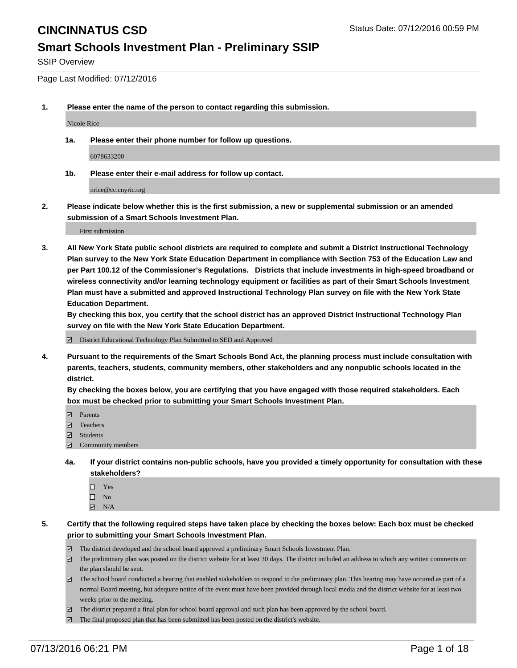SSIP Overview

Page Last Modified: 07/12/2016

**1. Please enter the name of the person to contact regarding this submission.**

Nicole Rice

**1a. Please enter their phone number for follow up questions.**

6078633200

**1b. Please enter their e-mail address for follow up contact.**

nrice@cc.cnyric.org

**2. Please indicate below whether this is the first submission, a new or supplemental submission or an amended submission of a Smart Schools Investment Plan.**

First submission

**3. All New York State public school districts are required to complete and submit a District Instructional Technology Plan survey to the New York State Education Department in compliance with Section 753 of the Education Law and per Part 100.12 of the Commissioner's Regulations. Districts that include investments in high-speed broadband or wireless connectivity and/or learning technology equipment or facilities as part of their Smart Schools Investment Plan must have a submitted and approved Instructional Technology Plan survey on file with the New York State Education Department.** 

**By checking this box, you certify that the school district has an approved District Instructional Technology Plan survey on file with the New York State Education Department.**

District Educational Technology Plan Submitted to SED and Approved

**4. Pursuant to the requirements of the Smart Schools Bond Act, the planning process must include consultation with parents, teachers, students, community members, other stakeholders and any nonpublic schools located in the district.** 

**By checking the boxes below, you are certifying that you have engaged with those required stakeholders. Each box must be checked prior to submitting your Smart Schools Investment Plan.**

- **Parents**
- □ Teachers
- Students
- Community members
- **4a. If your district contains non-public schools, have you provided a timely opportunity for consultation with these stakeholders?**
	- $\Box$  Yes  $\square$  No
	- $\boxtimes$  N/A
- **5. Certify that the following required steps have taken place by checking the boxes below: Each box must be checked prior to submitting your Smart Schools Investment Plan.**
	- The district developed and the school board approved a preliminary Smart Schools Investment Plan.
	- $\boxdot$  The preliminary plan was posted on the district website for at least 30 days. The district included an address to which any written comments on the plan should be sent.
	- $\Box$  The school board conducted a hearing that enabled stakeholders to respond to the preliminary plan. This hearing may have occured as part of a normal Board meeting, but adequate notice of the event must have been provided through local media and the district website for at least two weeks prior to the meeting.
	- The district prepared a final plan for school board approval and such plan has been approved by the school board.
	- $\boxdot$  The final proposed plan that has been submitted has been posted on the district's website.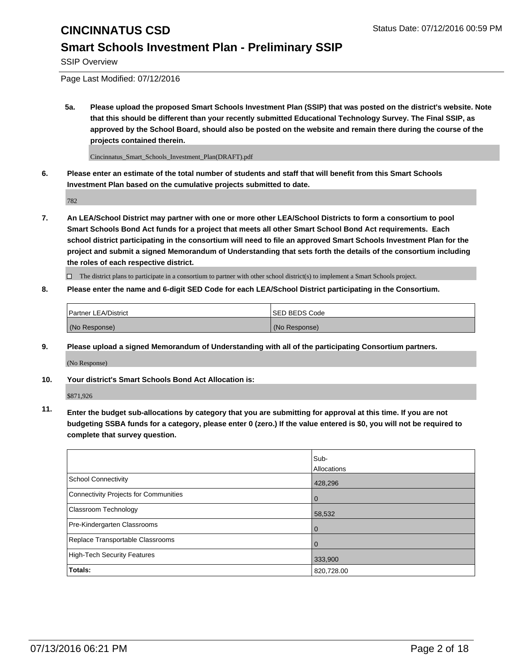### **Smart Schools Investment Plan - Preliminary SSIP**

SSIP Overview

Page Last Modified: 07/12/2016

**5a. Please upload the proposed Smart Schools Investment Plan (SSIP) that was posted on the district's website. Note that this should be different than your recently submitted Educational Technology Survey. The Final SSIP, as approved by the School Board, should also be posted on the website and remain there during the course of the projects contained therein.**

Cincinnatus\_Smart\_Schools\_Investment\_Plan(DRAFT).pdf

**6. Please enter an estimate of the total number of students and staff that will benefit from this Smart Schools Investment Plan based on the cumulative projects submitted to date.**

782

**7. An LEA/School District may partner with one or more other LEA/School Districts to form a consortium to pool Smart Schools Bond Act funds for a project that meets all other Smart School Bond Act requirements. Each school district participating in the consortium will need to file an approved Smart Schools Investment Plan for the project and submit a signed Memorandum of Understanding that sets forth the details of the consortium including the roles of each respective district.**

 $\Box$  The district plans to participate in a consortium to partner with other school district(s) to implement a Smart Schools project.

#### **8. Please enter the name and 6-digit SED Code for each LEA/School District participating in the Consortium.**

| Partner LEA/District | <b>ISED BEDS Code</b> |
|----------------------|-----------------------|
| (No Response)        | (No Response)         |

**9. Please upload a signed Memorandum of Understanding with all of the participating Consortium partners.**

(No Response)

**10. Your district's Smart Schools Bond Act Allocation is:**

\$871,926

**11. Enter the budget sub-allocations by category that you are submitting for approval at this time. If you are not budgeting SSBA funds for a category, please enter 0 (zero.) If the value entered is \$0, you will not be required to complete that survey question.**

|                                       | Sub-        |
|---------------------------------------|-------------|
|                                       | Allocations |
| <b>School Connectivity</b>            | 428,296     |
| Connectivity Projects for Communities | 0           |
| Classroom Technology                  | 58,532      |
| Pre-Kindergarten Classrooms           | O           |
| Replace Transportable Classrooms      |             |
| High-Tech Security Features           | 333,900     |
| <b>Totals:</b>                        | 820,728.00  |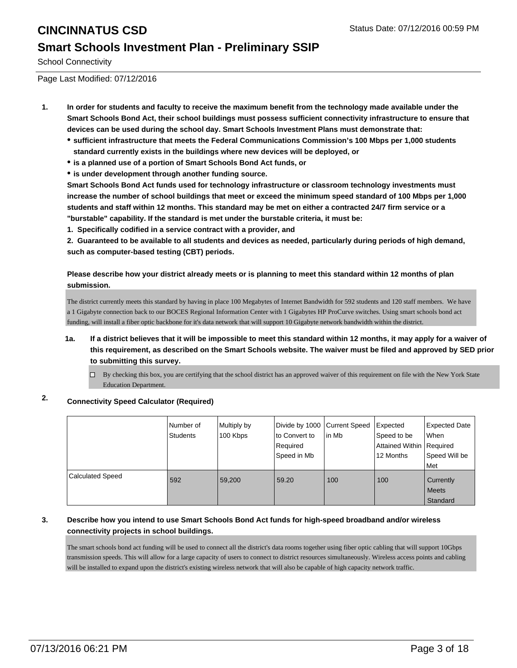## **CINCINNATUS CSD CINCINNATUS** CSD

#### **Smart Schools Investment Plan - Preliminary SSIP**

School Connectivity

Page Last Modified: 07/12/2016

- **1. In order for students and faculty to receive the maximum benefit from the technology made available under the Smart Schools Bond Act, their school buildings must possess sufficient connectivity infrastructure to ensure that devices can be used during the school day. Smart Schools Investment Plans must demonstrate that:**
	- **sufficient infrastructure that meets the Federal Communications Commission's 100 Mbps per 1,000 students standard currently exists in the buildings where new devices will be deployed, or**
	- **is a planned use of a portion of Smart Schools Bond Act funds, or**
	- **is under development through another funding source.**

**Smart Schools Bond Act funds used for technology infrastructure or classroom technology investments must increase the number of school buildings that meet or exceed the minimum speed standard of 100 Mbps per 1,000 students and staff within 12 months. This standard may be met on either a contracted 24/7 firm service or a "burstable" capability. If the standard is met under the burstable criteria, it must be:**

**1. Specifically codified in a service contract with a provider, and**

**2. Guaranteed to be available to all students and devices as needed, particularly during periods of high demand, such as computer-based testing (CBT) periods.**

**Please describe how your district already meets or is planning to meet this standard within 12 months of plan submission.**

The district currently meets this standard by having in place 100 Megabytes of Internet Bandwidth for 592 students and 120 staff members. We have a 1 Gigabyte connection back to our BOCES Regional Information Center with 1 Gigabytes HP ProCurve switches. Using smart schools bond act funding, will install a fiber optic backbone for it's data network that will support 10 Gigabyte network bandwidth within the district.

- **1a. If a district believes that it will be impossible to meet this standard within 12 months, it may apply for a waiver of this requirement, as described on the Smart Schools website. The waiver must be filed and approved by SED prior to submitting this survey.**
	- $\Box$  By checking this box, you are certifying that the school district has an approved waiver of this requirement on file with the New York State Education Department.

### **2. Connectivity Speed Calculator (Required)**

|                  | Number of<br><b>Students</b> | Multiply by<br>100 Kbps | Divide by 1000 Current Speed<br>to Convert to<br>Required<br>Speed in Mb | in Mb | Expected<br>Speed to be<br>Attained Within   Required<br>12 Months | <b>Expected Date</b><br><b>When</b><br>Speed Will be<br>Met |
|------------------|------------------------------|-------------------------|--------------------------------------------------------------------------|-------|--------------------------------------------------------------------|-------------------------------------------------------------|
| Calculated Speed | 592                          | 59,200                  | 59.20                                                                    | 100   | 100                                                                | Currently<br><b>Meets</b><br>Standard                       |

#### **3. Describe how you intend to use Smart Schools Bond Act funds for high-speed broadband and/or wireless connectivity projects in school buildings.**

The smart schools bond act funding will be used to connect all the district's data rooms together using fiber optic cabling that will support 10Gbps transmission speeds. This will allow for a large capacity of users to connect to district resources simultaneously. Wireless access points and cabling will be installed to expand upon the district's existing wireless network that will also be capable of high capacity network traffic.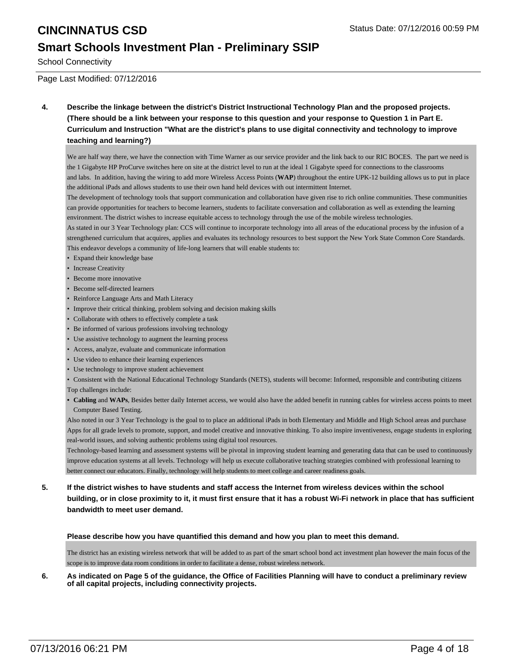# **CINCINNATUS CSD CINCINNATUS** CSD

### **Smart Schools Investment Plan - Preliminary SSIP**

School Connectivity

#### Page Last Modified: 07/12/2016

**4. Describe the linkage between the district's District Instructional Technology Plan and the proposed projects. (There should be a link between your response to this question and your response to Question 1 in Part E. Curriculum and Instruction "What are the district's plans to use digital connectivity and technology to improve teaching and learning?)**

We are half way there, we have the connection with Time Warner as our service provider and the link back to our RIC BOCES. The part we need is the 1 Gigabyte HP ProCurve switches here on site at the district level to run at the ideal 1 Gigabyte speed for connections to the classrooms and labs. In addition, having the wiring to add more Wireless Access Points (**WAP**) throughout the entire UPK-12 building allows us to put in place the additional iPads and allows students to use their own hand held devices with out intermittent Internet.

The development of technology tools that support communication and collaboration have given rise to rich online communities. These communities can provide opportunities for teachers to become learners, students to facilitate conversation and collaboration as well as extending the learning environment. The district wishes to increase equitable access to technology through the use of the mobile wireless technologies.

As stated in our 3 Year Technology plan: CCS will continue to incorporate technology into all areas of the educational process by the infusion of a strengthened curriculum that acquires, applies and evaluates its technology resources to best support the New York State Common Core Standards. This endeavor develops a community of life-long learners that will enable students to:

- Expand their knowledge base
- Increase Creativity
- Become more innovative
- Become self-directed learners
- Reinforce Language Arts and Math Literacy
- Improve their critical thinking, problem solving and decision making skills
- Collaborate with others to effectively complete a task
- Be informed of various professions involving technology
- Use assistive technology to augment the learning process
- Access, analyze, evaluate and communicate information
- Use video to enhance their learning experiences
- Use technology to improve student achievement
- Consistent with the National Educational Technology Standards (NETS), students will become: Informed, responsible and contributing citizens Top challenges include:
- Cabling and WAPs, Besides better daily Internet access, we would also have the added benefit in running cables for wireless access points to meet Computer Based Testing.

Also noted in our 3 Year Technology is the goal to to place an additional iPads in both Elementary and Middle and High School areas and purchase Apps for all grade levels to promote, support, and model creative and innovative thinking. To also inspire inventiveness, engage students in exploring real-world issues, and solving authentic problems using digital tool resources.

Technology-based learning and assessment systems will be pivotal in improving student learning and generating data that can be used to continuously improve education systems at all levels. Technology will help us execute collaborative teaching strategies combined with professional learning to better connect our educators. Finally, technology will help students to meet college and career readiness goals.

**5. If the district wishes to have students and staff access the Internet from wireless devices within the school building, or in close proximity to it, it must first ensure that it has a robust Wi-Fi network in place that has sufficient bandwidth to meet user demand.**

#### **Please describe how you have quantified this demand and how you plan to meet this demand.**

The district has an existing wireless network that will be added to as part of the smart school bond act investment plan however the main focus of the scope is to improve data room conditions in order to facilitate a dense, robust wireless network.

**6. As indicated on Page 5 of the guidance, the Office of Facilities Planning will have to conduct a preliminary review of all capital projects, including connectivity projects.**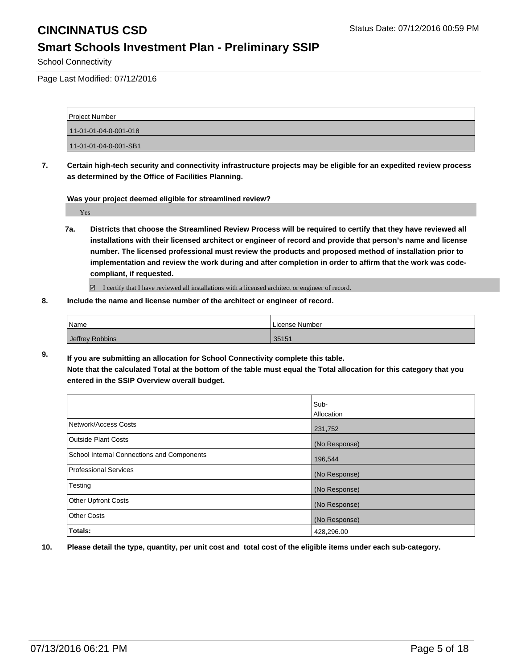#### **Smart Schools Investment Plan - Preliminary SSIP**

School Connectivity

Page Last Modified: 07/12/2016

| Project Number        |  |
|-----------------------|--|
| 11-01-01-04-0-001-018 |  |
| 11-01-01-04-0-001-SB1 |  |

**7. Certain high-tech security and connectivity infrastructure projects may be eligible for an expedited review process as determined by the Office of Facilities Planning.**

**Was your project deemed eligible for streamlined review?**

Yes

**7a. Districts that choose the Streamlined Review Process will be required to certify that they have reviewed all installations with their licensed architect or engineer of record and provide that person's name and license number. The licensed professional must review the products and proposed method of installation prior to implementation and review the work during and after completion in order to affirm that the work was codecompliant, if requested.**

■ I certify that I have reviewed all installations with a licensed architect or engineer of record.

**8. Include the name and license number of the architect or engineer of record.**

| 'Name           | License Number |
|-----------------|----------------|
| Jeffrey Robbins | 35151          |

**9. If you are submitting an allocation for School Connectivity complete this table. Note that the calculated Total at the bottom of the table must equal the Total allocation for this category that you entered in the SSIP Overview overall budget.** 

|                                            | Sub-<br><b>Allocation</b> |
|--------------------------------------------|---------------------------|
| Network/Access Costs                       | 231,752                   |
| <b>Outside Plant Costs</b>                 | (No Response)             |
| School Internal Connections and Components | 196,544                   |
| Professional Services                      | (No Response)             |
| Testing                                    | (No Response)             |
| Other Upfront Costs                        | (No Response)             |
| <b>Other Costs</b>                         | (No Response)             |
| Totals:                                    | 428,296.00                |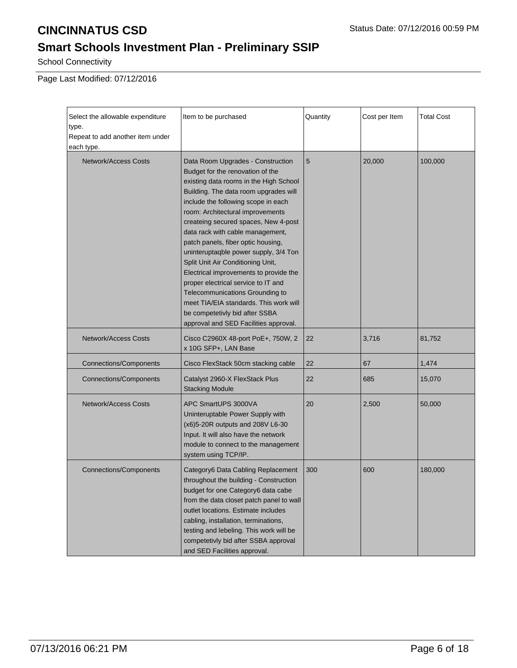# **Smart Schools Investment Plan - Preliminary SSIP**

School Connectivity

Page Last Modified: 07/12/2016

| Select the allowable expenditure<br>type.<br>Repeat to add another item under<br>each type. | Item to be purchased                                                                                                                                                                                                                                                                                                                                                                                                                                                                                                                                                                                                                                                         | Quantity | Cost per Item | <b>Total Cost</b> |
|---------------------------------------------------------------------------------------------|------------------------------------------------------------------------------------------------------------------------------------------------------------------------------------------------------------------------------------------------------------------------------------------------------------------------------------------------------------------------------------------------------------------------------------------------------------------------------------------------------------------------------------------------------------------------------------------------------------------------------------------------------------------------------|----------|---------------|-------------------|
| <b>Network/Access Costs</b>                                                                 | Data Room Upgrades - Construction<br>Budget for the renovation of the<br>existing data rooms in the High School<br>Building. The data room upgrades will<br>include the following scope in each<br>room: Architectural improvements<br>createing secured spaces, New 4-post<br>data rack with cable management,<br>patch panels, fiber optic housing,<br>uninteruptaqble power supply, 3/4 Ton<br>Split Unit Air Conditioning Unit,<br>Electrical improvements to provide the<br>proper electrical service to IT and<br>Telecommunications Grounding to<br>meet TIA/EIA standards. This work will<br>be competetivly bid after SSBA<br>approval and SED Facilities approval. | 5        | 20,000        | 100,000           |
| <b>Network/Access Costs</b>                                                                 | Cisco C2960X 48-port PoE+, 750W, 2<br>x 10G SFP+, LAN Base                                                                                                                                                                                                                                                                                                                                                                                                                                                                                                                                                                                                                   | 22       | 3,716         | 81,752            |
| <b>Connections/Components</b>                                                               | Cisco FlexStack 50cm stacking cable                                                                                                                                                                                                                                                                                                                                                                                                                                                                                                                                                                                                                                          | 22       | 67            | 1,474             |
| <b>Connections/Components</b>                                                               | Catalyst 2960-X FlexStack Plus<br><b>Stacking Module</b>                                                                                                                                                                                                                                                                                                                                                                                                                                                                                                                                                                                                                     | 22       | 685           | 15,070            |
| <b>Network/Access Costs</b>                                                                 | APC SmartUPS 3000VA<br>Uninteruptable Power Supply with<br>(x6)5-20R outputs and 208V L6-30<br>Input. It will also have the network<br>module to connect to the management<br>system using TCP/IP.                                                                                                                                                                                                                                                                                                                                                                                                                                                                           | 20       | 2,500         | 50,000            |
| <b>Connections/Components</b>                                                               | Category6 Data Cabling Replacement<br>300<br>throughout the building - Construction<br>budget for one Category6 data cabe<br>from the data closet patch panel to wall<br>outlet locations. Estimate includes<br>cabling, installation, terminations,<br>testing and lebeling. This work will be<br>competetivly bid after SSBA approval<br>and SED Facilities approval.                                                                                                                                                                                                                                                                                                      |          | 600           | 180,000           |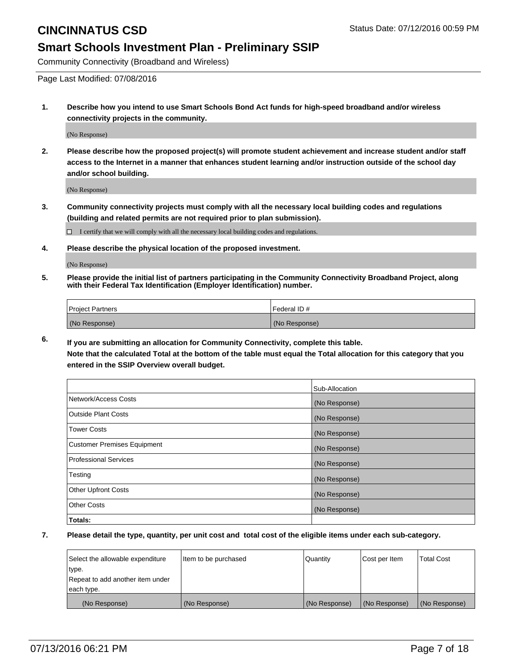Community Connectivity (Broadband and Wireless)

Page Last Modified: 07/08/2016

**1. Describe how you intend to use Smart Schools Bond Act funds for high-speed broadband and/or wireless connectivity projects in the community.**

(No Response)

**2. Please describe how the proposed project(s) will promote student achievement and increase student and/or staff access to the Internet in a manner that enhances student learning and/or instruction outside of the school day and/or school building.**

(No Response)

**3. Community connectivity projects must comply with all the necessary local building codes and regulations (building and related permits are not required prior to plan submission).**

 $\Box$  I certify that we will comply with all the necessary local building codes and regulations.

**4. Please describe the physical location of the proposed investment.**

(No Response)

**5. Please provide the initial list of partners participating in the Community Connectivity Broadband Project, along with their Federal Tax Identification (Employer Identification) number.**

| Project Partners | <b>IFederal ID#</b> |
|------------------|---------------------|
| (No Response)    | (No Response)       |

**6. If you are submitting an allocation for Community Connectivity, complete this table. Note that the calculated Total at the bottom of the table must equal the Total allocation for this category that you**

**entered in the SSIP Overview overall budget.**

|                                    | Sub-Allocation |
|------------------------------------|----------------|
| Network/Access Costs               | (No Response)  |
| <b>Outside Plant Costs</b>         | (No Response)  |
| <b>Tower Costs</b>                 | (No Response)  |
| <b>Customer Premises Equipment</b> | (No Response)  |
| <b>Professional Services</b>       | (No Response)  |
| Testing                            | (No Response)  |
| <b>Other Upfront Costs</b>         | (No Response)  |
| <b>Other Costs</b>                 | (No Response)  |
| Totals:                            |                |

| Select the allowable expenditure | Item to be purchased | Quantity      | Cost per Item | <b>Total Cost</b> |
|----------------------------------|----------------------|---------------|---------------|-------------------|
| type.                            |                      |               |               |                   |
| Repeat to add another item under |                      |               |               |                   |
| each type.                       |                      |               |               |                   |
| (No Response)                    | (No Response)        | (No Response) | (No Response) | (No Response)     |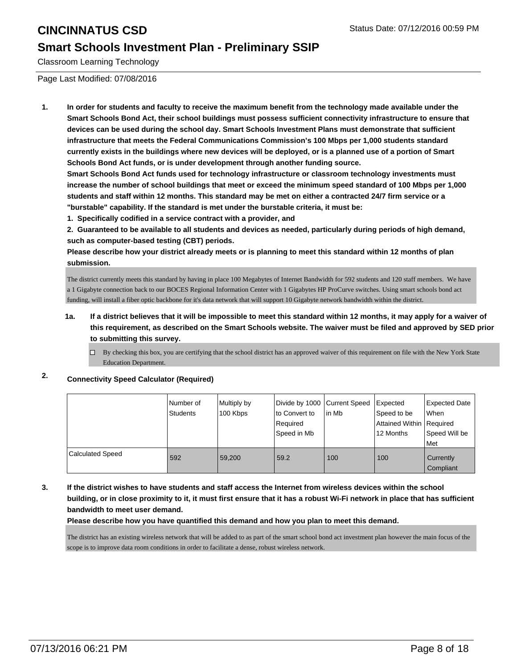Classroom Learning Technology

Page Last Modified: 07/08/2016

**1. In order for students and faculty to receive the maximum benefit from the technology made available under the Smart Schools Bond Act, their school buildings must possess sufficient connectivity infrastructure to ensure that devices can be used during the school day. Smart Schools Investment Plans must demonstrate that sufficient infrastructure that meets the Federal Communications Commission's 100 Mbps per 1,000 students standard currently exists in the buildings where new devices will be deployed, or is a planned use of a portion of Smart Schools Bond Act funds, or is under development through another funding source.**

**Smart Schools Bond Act funds used for technology infrastructure or classroom technology investments must increase the number of school buildings that meet or exceed the minimum speed standard of 100 Mbps per 1,000 students and staff within 12 months. This standard may be met on either a contracted 24/7 firm service or a "burstable" capability. If the standard is met under the burstable criteria, it must be:**

**1. Specifically codified in a service contract with a provider, and**

**2. Guaranteed to be available to all students and devices as needed, particularly during periods of high demand, such as computer-based testing (CBT) periods.**

**Please describe how your district already meets or is planning to meet this standard within 12 months of plan submission.**

The district currently meets this standard by having in place 100 Megabytes of Internet Bandwidth for 592 students and 120 staff members. We have a 1 Gigabyte connection back to our BOCES Regional Information Center with 1 Gigabytes HP ProCurve switches. Using smart schools bond act funding, will install a fiber optic backbone for it's data network that will support 10 Gigabyte network bandwidth within the district.

**1a. If a district believes that it will be impossible to meet this standard within 12 months, it may apply for a waiver of this requirement, as described on the Smart Schools website. The waiver must be filed and approved by SED prior to submitting this survey.**

 $\Box$  By checking this box, you are certifying that the school district has an approved waiver of this requirement on file with the New York State Education Department.

#### **2. Connectivity Speed Calculator (Required)**

|                         | I Number of<br><b>Students</b> | Multiply by<br>100 Kbps | Divide by 1000 Current Speed<br>Ito Convert to<br>Required<br>Speed in Mb | lin Mb | Expected<br>Speed to be<br>Attained Within   Required<br>12 Months | Expected Date<br>l When<br>Speed Will be<br>Met |
|-------------------------|--------------------------------|-------------------------|---------------------------------------------------------------------------|--------|--------------------------------------------------------------------|-------------------------------------------------|
| <b>Calculated Speed</b> | 592                            | 59,200                  | 59.2                                                                      | 100    | 100                                                                | Currently<br>Compliant                          |

**3. If the district wishes to have students and staff access the Internet from wireless devices within the school building, or in close proximity to it, it must first ensure that it has a robust Wi-Fi network in place that has sufficient bandwidth to meet user demand.**

**Please describe how you have quantified this demand and how you plan to meet this demand.**

The district has an existing wireless network that will be added to as part of the smart school bond act investment plan however the main focus of the scope is to improve data room conditions in order to facilitate a dense, robust wireless network.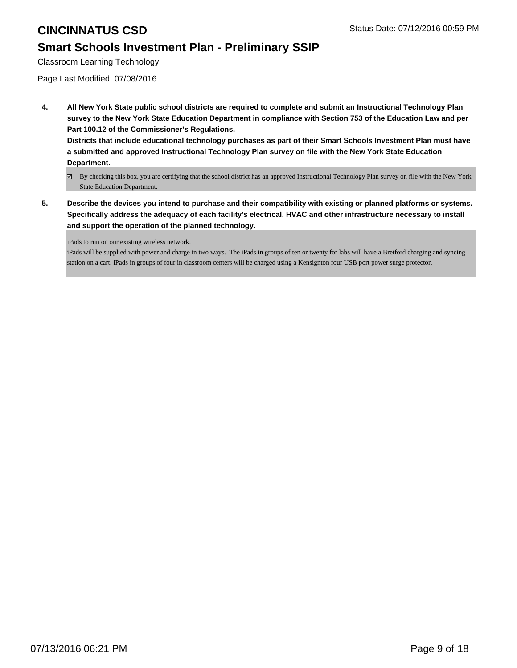Classroom Learning Technology

Page Last Modified: 07/08/2016

**4. All New York State public school districts are required to complete and submit an Instructional Technology Plan survey to the New York State Education Department in compliance with Section 753 of the Education Law and per Part 100.12 of the Commissioner's Regulations.**

**Districts that include educational technology purchases as part of their Smart Schools Investment Plan must have a submitted and approved Instructional Technology Plan survey on file with the New York State Education Department.**

- By checking this box, you are certifying that the school district has an approved Instructional Technology Plan survey on file with the New York State Education Department.
- **5. Describe the devices you intend to purchase and their compatibility with existing or planned platforms or systems. Specifically address the adequacy of each facility's electrical, HVAC and other infrastructure necessary to install and support the operation of the planned technology.**

iPads to run on our existing wireless network.

iPads will be supplied with power and charge in two ways. The iPads in groups of ten or twenty for labs will have a Bretford charging and syncing station on a cart. iPads in groups of four in classroom centers will be charged using a Kensignton four USB port power surge protector.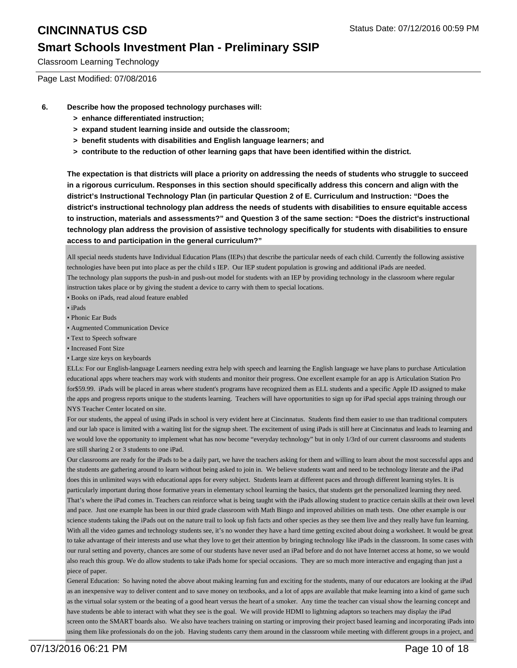Classroom Learning Technology

Page Last Modified: 07/08/2016

- **6. Describe how the proposed technology purchases will:**
	- **> enhance differentiated instruction;**
	- **> expand student learning inside and outside the classroom;**
	- **> benefit students with disabilities and English language learners; and**
	- **> contribute to the reduction of other learning gaps that have been identified within the district.**

**The expectation is that districts will place a priority on addressing the needs of students who struggle to succeed in a rigorous curriculum. Responses in this section should specifically address this concern and align with the district's Instructional Technology Plan (in particular Question 2 of E. Curriculum and Instruction: "Does the district's instructional technology plan address the needs of students with disabilities to ensure equitable access to instruction, materials and assessments?" and Question 3 of the same section: "Does the district's instructional technology plan address the provision of assistive technology specifically for students with disabilities to ensure access to and participation in the general curriculum?"**

All special needs students have Individual Education Plans (IEPs) that describe the particular needs of each child. Currently the following assistive technologies have been put into place as per the child s IEP. Our IEP student population is growing and additional iPads are needed. The technology plan supports the push-in and push-out model for students with an IEP by providing technology in the classroom where regular instruction takes place or by giving the student a device to carry with them to special locations.

- Books on iPads, read aloud feature enabled
- iPads
- Phonic Ear Buds
- Augmented Communication Device
- Text to Speech software
- Increased Font Size
- Large size keys on keyboards

ELLs: For our English-language Learners needing extra help with speech and learning the English language we have plans to purchase Articulation educational apps where teachers may work with students and monitor their progress. One excellent example for an app is Articulation Station Pro for\$59.99. iPads will be placed in areas where student's programs have recognized them as ELL students and a specific Apple ID assigned to make the apps and progress reports unique to the students learning. Teachers will have opportunities to sign up for iPad special apps training through our NYS Teacher Center located on site.

For our students, the appeal of using iPads in school is very evident here at Cincinnatus. Students find them easier to use than traditional computers and our lab space is limited with a waiting list for the signup sheet. The excitement of using iPads is still here at Cincinnatus and leads to learning and we would love the opportunity to implement what has now become "everyday technology" but in only 1/3rd of our current classrooms and students are still sharing 2 or 3 students to one iPad.

Our classrooms are ready for the iPads to be a daily part, we have the teachers asking for them and willing to learn about the most successful apps and the students are gathering around to learn without being asked to join in. We believe students want and need to be technology literate and the iPad does this in unlimited ways with educational apps for every subject. Students learn at different paces and through different learning styles. It is particularly important during those formative years in elementary school learning the basics, that students get the personalized learning they need. That's where the iPad comes in. Teachers can reinforce what is being taught with the iPads allowing student to practice certain skills at their own level and pace. Just one example has been in our third grade classroom with Math Bingo and improved abilities on math tests. One other example is our science students taking the iPads out on the nature trail to look up fish facts and other species as they see them live and they really have fun learning. With all the video games and technology students see, it's no wonder they have a hard time getting excited about doing a worksheet. It would be great to take advantage of their interests and use what they love to get their attention by bringing technology like iPads in the classroom. In some cases with our rural setting and poverty, chances are some of our students have never used an iPad before and do not have Internet access at home, so we would also reach this group. We do allow students to take iPads home for special occasions. They are so much more interactive and engaging than just a piece of paper.

General Education: So having noted the above about making learning fun and exciting for the students, many of our educators are looking at the iPad as an inexpensive way to deliver content and to save money on textbooks, and a lot of apps are available that make learning into a kind of game such as the virtual solar system or the beating of a good heart versus the heart of a smoker. Any time the teacher can visual show the learning concept and have students be able to interact with what they see is the goal. We will provide HDMI to lightning adaptors so teachers may display the iPad screen onto the SMART boards also. We also have teachers training on starting or improving their project based learning and incorporating iPads into using them like professionals do on the job. Having students carry them around in the classroom while meeting with different groups in a project, and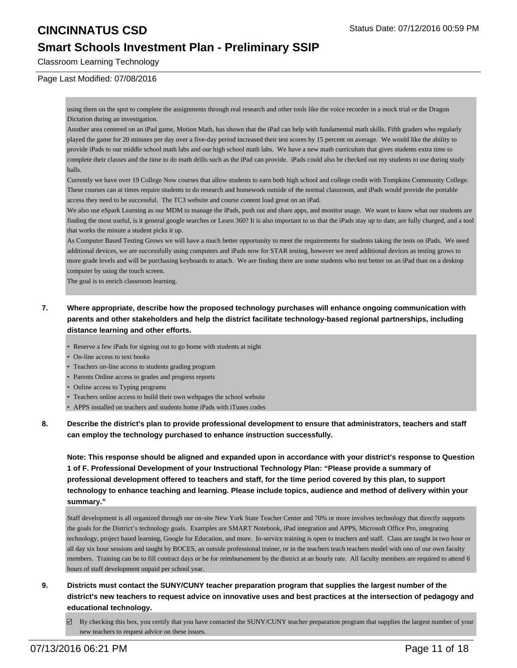Classroom Learning Technology

#### Page Last Modified: 07/08/2016

using them on the spot to complete the assignments through real research and other tools like the voice recorder in a mock trial or the Dragon Dictation during an investigation.

Another area centered on an iPad game, Motion Math, has shown that the iPad can help with fundamental math skills. Fifth graders who regularly played the game for 20 minutes per day over a five-day period increased their test scores by 15 percent on average. We would like the ability to provide iPads to our middle school math labs and our high school math labs. We have a new math curriculum that gives students extra time to complete their classes and the time to do math drills such as the iPad can provide. iPads could also be checked out my students to use during study halls.

Currently we have over 19 College Now courses that allow students to earn both high school and college credit with Tompkins Community College. These courses can at times require students to do research and homework outside of the normal classroom, and iPads would provide the portable access they need to be successful. The TC3 website and course content load great on an iPad.

We also use eSpark Learning as our MDM to manage the iPads, push out and share apps, and monitor usage. We want to know what our students are finding the most useful, is it general google searches or Learn 360? It is also important to us that the iPads stay up to date, are fully charged, and a tool that works the minute a student picks it up.

As Computer Based Testing Grows we will have a much better opportunity to meet the requirements for students taking the tests on iPads. We need additional devices, we are successfully using computers and iPads now for STAR testing, however we need additional devices as testing grows to more grade levels and will be purchasing keyboards to attach. We are finding there are some students who test better on an iPad than on a desktop computer by using the touch screen.

The goal is to enrich classroom learning.

- **7. Where appropriate, describe how the proposed technology purchases will enhance ongoing communication with parents and other stakeholders and help the district facilitate technology-based regional partnerships, including distance learning and other efforts.**
	- Reserve a few iPads for signing out to go home with students at night
	- On-line access to text books
	- Teachers on-line access to students grading program
	- Parents Online access to grades and progress reports
	- Online access to Typing programs
	- Teachers online access to build their own webpages the school website
	- APPS installed on teachers and students home iPads with iTunes codes
- **8. Describe the district's plan to provide professional development to ensure that administrators, teachers and staff can employ the technology purchased to enhance instruction successfully.**

**Note: This response should be aligned and expanded upon in accordance with your district's response to Question 1 of F. Professional Development of your Instructional Technology Plan: "Please provide a summary of professional development offered to teachers and staff, for the time period covered by this plan, to support technology to enhance teaching and learning. Please include topics, audience and method of delivery within your summary."**

Staff development is all organized through our on-site New York State Teacher Center and 70% or more involves technology that directly supports the goals for the District's technology goals. Examples are SMART Notebook, iPad integration and APPS, Microsoft Office Pro, integrating technology, project based learning, Google for Education, and more. In-service training is open to teachers and staff. Class are taught in two hour or all day six hour sessions and taught by BOCES, an outside professional trainer, or in the teachers teach teachers model with ono of our own faculty members. Training can be to fill contract days or be for reimbursement by the district at an hourly rate. All faculty members are required to attend 6 hours of staff development unpaid per school year.

#### **9. Districts must contact the SUNY/CUNY teacher preparation program that supplies the largest number of the district's new teachers to request advice on innovative uses and best practices at the intersection of pedagogy and educational technology.**

 $\boxtimes$  By checking this box, you certify that you have contacted the SUNY/CUNY teacher preparation program that supplies the largest number of your new teachers to request advice on these issues.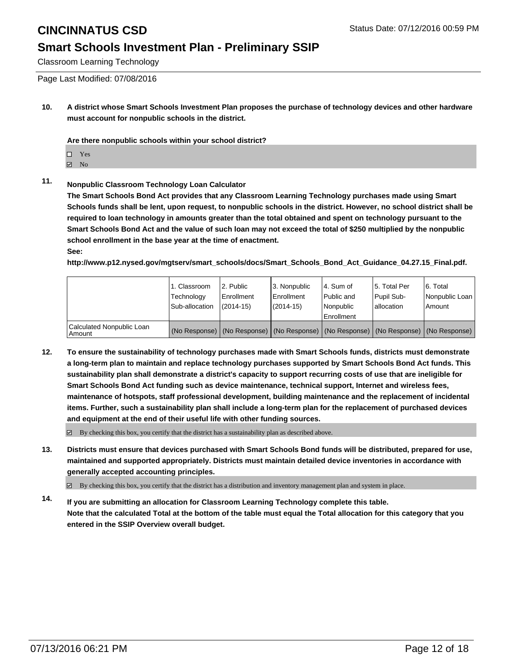### **Smart Schools Investment Plan - Preliminary SSIP**

Classroom Learning Technology

Page Last Modified: 07/08/2016

**10. A district whose Smart Schools Investment Plan proposes the purchase of technology devices and other hardware must account for nonpublic schools in the district.**

**Are there nonpublic schools within your school district?**

- $\Box$  Yes
- **☑** No

#### **11. Nonpublic Classroom Technology Loan Calculator**

**The Smart Schools Bond Act provides that any Classroom Learning Technology purchases made using Smart Schools funds shall be lent, upon request, to nonpublic schools in the district. However, no school district shall be required to loan technology in amounts greater than the total obtained and spent on technology pursuant to the Smart Schools Bond Act and the value of such loan may not exceed the total of \$250 multiplied by the nonpublic school enrollment in the base year at the time of enactment. See:**

**http://www.p12.nysed.gov/mgtserv/smart\_schools/docs/Smart\_Schools\_Bond\_Act\_Guidance\_04.27.15\_Final.pdf.**

|                                       | 1. Classroom<br>Technology<br>Sub-allocation | 12. Public<br>Enrollment<br>$(2014 - 15)$ | 3. Nonpublic<br><b>Enrollment</b><br>$(2014 - 15)$ | 4. Sum of<br>Public and<br>l Nonpublic<br>Enrollment                                          | l 5. Total Per<br>l Pupil Sub-<br>lallocation | 6. Total<br>Nonpublic Loan<br>Amount |
|---------------------------------------|----------------------------------------------|-------------------------------------------|----------------------------------------------------|-----------------------------------------------------------------------------------------------|-----------------------------------------------|--------------------------------------|
| Calculated Nonpublic Loan<br>  Amount |                                              |                                           |                                                    | (No Response)   (No Response)   (No Response)   (No Response)   (No Response)   (No Response) |                                               |                                      |

**12. To ensure the sustainability of technology purchases made with Smart Schools funds, districts must demonstrate a long-term plan to maintain and replace technology purchases supported by Smart Schools Bond Act funds. This sustainability plan shall demonstrate a district's capacity to support recurring costs of use that are ineligible for Smart Schools Bond Act funding such as device maintenance, technical support, Internet and wireless fees, maintenance of hotspots, staff professional development, building maintenance and the replacement of incidental items. Further, such a sustainability plan shall include a long-term plan for the replacement of purchased devices and equipment at the end of their useful life with other funding sources.**

 $\boxtimes$  By checking this box, you certify that the district has a sustainability plan as described above.

**13. Districts must ensure that devices purchased with Smart Schools Bond funds will be distributed, prepared for use, maintained and supported appropriately. Districts must maintain detailed device inventories in accordance with generally accepted accounting principles.**

By checking this box, you certify that the district has a distribution and inventory management plan and system in place.

**14. If you are submitting an allocation for Classroom Learning Technology complete this table. Note that the calculated Total at the bottom of the table must equal the Total allocation for this category that you entered in the SSIP Overview overall budget.**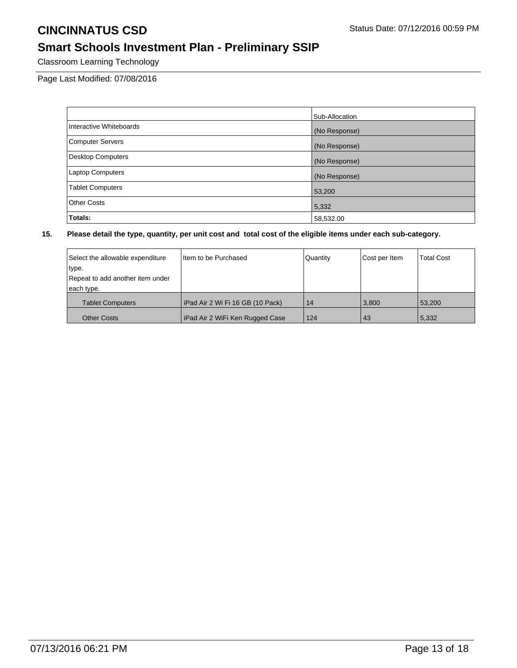## **Smart Schools Investment Plan - Preliminary SSIP**

Classroom Learning Technology

Page Last Modified: 07/08/2016

|                          | Sub-Allocation |
|--------------------------|----------------|
| Interactive Whiteboards  | (No Response)  |
| <b>Computer Servers</b>  | (No Response)  |
| <b>Desktop Computers</b> | (No Response)  |
| <b>Laptop Computers</b>  | (No Response)  |
| <b>Tablet Computers</b>  | 53,200         |
| <b>Other Costs</b>       | 5,332          |
| Totals:                  | 58,532.00      |

| Select the allowable expenditure | I Item to be Purchased           | Quantity | Cost per Item | <b>Total Cost</b> |
|----------------------------------|----------------------------------|----------|---------------|-------------------|
| type.                            |                                  |          |               |                   |
| Repeat to add another item under |                                  |          |               |                   |
| each type.                       |                                  |          |               |                   |
| <b>Tablet Computers</b>          | iPad Air 2 Wi Fi 16 GB (10 Pack) | 14       | 3,800         | 53,200            |
| <b>Other Costs</b>               | iPad Air 2 WiFi Ken Rugged Case  | 124      | 43            | 5,332             |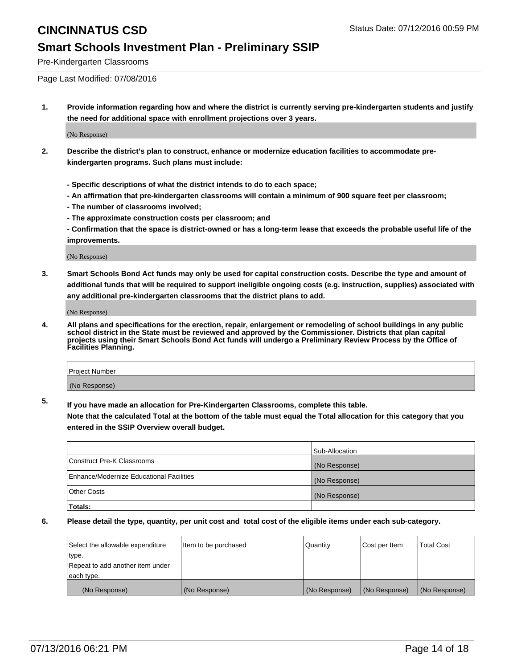#### **Smart Schools Investment Plan - Preliminary SSIP**

Pre-Kindergarten Classrooms

Page Last Modified: 07/08/2016

**1. Provide information regarding how and where the district is currently serving pre-kindergarten students and justify the need for additional space with enrollment projections over 3 years.**

(No Response)

- **2. Describe the district's plan to construct, enhance or modernize education facilities to accommodate prekindergarten programs. Such plans must include:**
	- **Specific descriptions of what the district intends to do to each space;**
	- **An affirmation that pre-kindergarten classrooms will contain a minimum of 900 square feet per classroom;**
	- **The number of classrooms involved;**
	- **The approximate construction costs per classroom; and**
	- **Confirmation that the space is district-owned or has a long-term lease that exceeds the probable useful life of the improvements.**

(No Response)

**3. Smart Schools Bond Act funds may only be used for capital construction costs. Describe the type and amount of additional funds that will be required to support ineligible ongoing costs (e.g. instruction, supplies) associated with any additional pre-kindergarten classrooms that the district plans to add.**

(No Response)

**4. All plans and specifications for the erection, repair, enlargement or remodeling of school buildings in any public school district in the State must be reviewed and approved by the Commissioner. Districts that plan capital projects using their Smart Schools Bond Act funds will undergo a Preliminary Review Process by the Office of Facilities Planning.**

| Project Number |  |
|----------------|--|
| (No Response)  |  |

**5. If you have made an allocation for Pre-Kindergarten Classrooms, complete this table.**

**Note that the calculated Total at the bottom of the table must equal the Total allocation for this category that you entered in the SSIP Overview overall budget.**

|                                          | Sub-Allocation |
|------------------------------------------|----------------|
| Construct Pre-K Classrooms               | (No Response)  |
| Enhance/Modernize Educational Facilities | (No Response)  |
| <b>Other Costs</b>                       | (No Response)  |
| Totals:                                  |                |

| Select the allowable expenditure | litem to be purchased | Quantity      | Cost per Item | <b>Total Cost</b> |
|----------------------------------|-----------------------|---------------|---------------|-------------------|
| type.                            |                       |               |               |                   |
| Repeat to add another item under |                       |               |               |                   |
| each type.                       |                       |               |               |                   |
| (No Response)                    | (No Response)         | (No Response) | (No Response) | (No Response)     |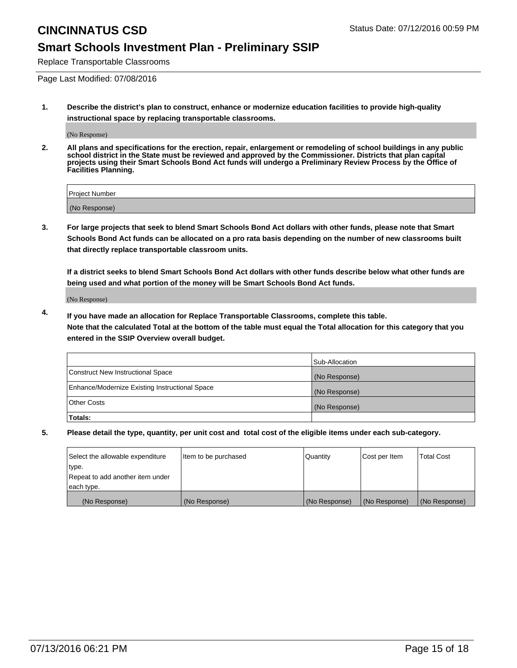Replace Transportable Classrooms

Page Last Modified: 07/08/2016

**1. Describe the district's plan to construct, enhance or modernize education facilities to provide high-quality instructional space by replacing transportable classrooms.**

(No Response)

**2. All plans and specifications for the erection, repair, enlargement or remodeling of school buildings in any public school district in the State must be reviewed and approved by the Commissioner. Districts that plan capital projects using their Smart Schools Bond Act funds will undergo a Preliminary Review Process by the Office of Facilities Planning.**

| <b>Project Number</b> |  |
|-----------------------|--|
| (No Response)         |  |

**3. For large projects that seek to blend Smart Schools Bond Act dollars with other funds, please note that Smart Schools Bond Act funds can be allocated on a pro rata basis depending on the number of new classrooms built that directly replace transportable classroom units.**

**If a district seeks to blend Smart Schools Bond Act dollars with other funds describe below what other funds are being used and what portion of the money will be Smart Schools Bond Act funds.**

(No Response)

**4. If you have made an allocation for Replace Transportable Classrooms, complete this table. Note that the calculated Total at the bottom of the table must equal the Total allocation for this category that you entered in the SSIP Overview overall budget.**

|                                                | Sub-Allocation |
|------------------------------------------------|----------------|
| Construct New Instructional Space              | (No Response)  |
| Enhance/Modernize Existing Instructional Space | (No Response)  |
| Other Costs                                    | (No Response)  |
| Totals:                                        |                |

| Select the allowable expenditure | Item to be purchased | Quantity      | Cost per Item | <b>Total Cost</b> |
|----------------------------------|----------------------|---------------|---------------|-------------------|
| type.                            |                      |               |               |                   |
| Repeat to add another item under |                      |               |               |                   |
| each type.                       |                      |               |               |                   |
| (No Response)                    | (No Response)        | (No Response) | (No Response) | (No Response)     |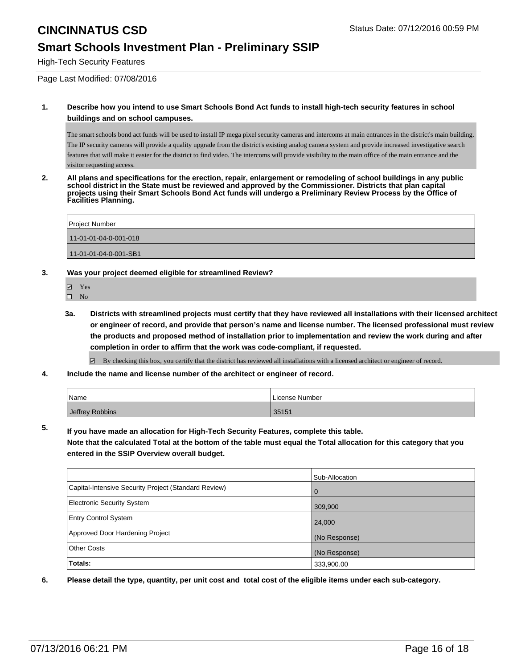## **CINCINNATUS CSD CINCINNATUS CSD Status Date: 07/12/2016 00:59 PM**

### **Smart Schools Investment Plan - Preliminary SSIP**

High-Tech Security Features

Page Last Modified: 07/08/2016

#### **1. Describe how you intend to use Smart Schools Bond Act funds to install high-tech security features in school buildings and on school campuses.**

The smart schools bond act funds will be used to install IP mega pixel security cameras and intercoms at main entrances in the district's main building. The IP security cameras will provide a quality upgrade from the district's existing analog camera system and provide increased investigative search features that will make it easier for the district to find video. The intercoms will provide visibility to the main office of the main entrance and the visitor requesting access.

**2. All plans and specifications for the erection, repair, enlargement or remodeling of school buildings in any public school district in the State must be reviewed and approved by the Commissioner. Districts that plan capital projects using their Smart Schools Bond Act funds will undergo a Preliminary Review Process by the Office of Facilities Planning.** 

| <b>Project Number</b> |
|-----------------------|
| 11-01-01-04-0-001-018 |
| 11-01-01-04-0-001-SB1 |

**3. Was your project deemed eligible for streamlined Review?**

Yes

 $\square$  No

**3a. Districts with streamlined projects must certify that they have reviewed all installations with their licensed architect or engineer of record, and provide that person's name and license number. The licensed professional must review the products and proposed method of installation prior to implementation and review the work during and after completion in order to affirm that the work was code-compliant, if requested.**

By checking this box, you certify that the district has reviewed all installations with a licensed architect or engineer of record.

**4. Include the name and license number of the architect or engineer of record.**

| Name            | License Number |
|-----------------|----------------|
| Jeffrey Robbins | 35151          |

**5. If you have made an allocation for High-Tech Security Features, complete this table.**

**Note that the calculated Total at the bottom of the table must equal the Total allocation for this category that you entered in the SSIP Overview overall budget.**

|                                                      | Sub-Allocation |
|------------------------------------------------------|----------------|
| Capital-Intensive Security Project (Standard Review) | l 0            |
| <b>Electronic Security System</b>                    | 309,900        |
| <b>Entry Control System</b>                          | 24,000         |
| Approved Door Hardening Project                      | (No Response)  |
| <b>Other Costs</b>                                   | (No Response)  |
| Totals:                                              | 333,900.00     |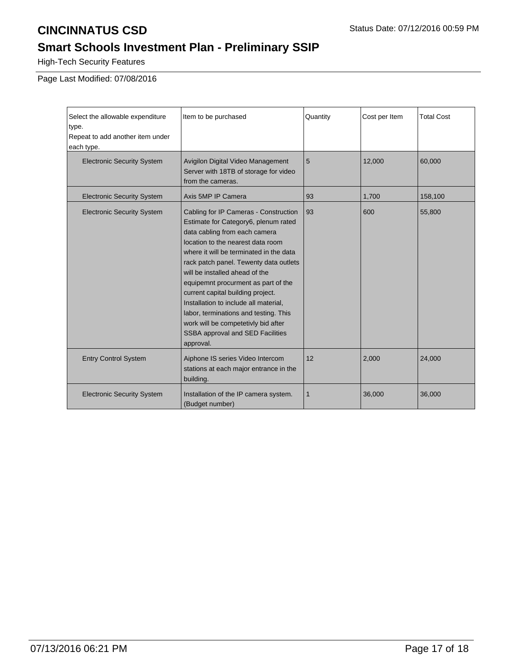# **Smart Schools Investment Plan - Preliminary SSIP**

High-Tech Security Features

Page Last Modified: 07/08/2016

| Select the allowable expenditure<br>type.<br>Repeat to add another item under<br>each type. | Item to be purchased                                                                                                                                                                                                                                                                                                                                                                                                                                                                                                             | Quantity | Cost per Item | <b>Total Cost</b> |
|---------------------------------------------------------------------------------------------|----------------------------------------------------------------------------------------------------------------------------------------------------------------------------------------------------------------------------------------------------------------------------------------------------------------------------------------------------------------------------------------------------------------------------------------------------------------------------------------------------------------------------------|----------|---------------|-------------------|
| <b>Electronic Security System</b>                                                           | Avigilon Digital Video Management<br>Server with 18TB of storage for video<br>from the cameras.                                                                                                                                                                                                                                                                                                                                                                                                                                  | 5        | 12,000        | 60,000            |
| <b>Electronic Security System</b>                                                           | Axis 5MP IP Camera                                                                                                                                                                                                                                                                                                                                                                                                                                                                                                               | 93       | 1,700         | 158,100           |
| <b>Electronic Security System</b>                                                           | Cabling for IP Cameras - Construction<br>Estimate for Category6, plenum rated<br>data cabling from each camera<br>location to the nearest data room<br>where it will be terminated in the data<br>rack patch panel. Tewenty data outlets<br>will be installed ahead of the<br>equipemnt procurment as part of the<br>current capital building project.<br>Installation to include all material,<br>labor, terminations and testing. This<br>work will be competetivly bid after<br>SSBA approval and SED Facilities<br>approval. | 93       | 600           | 55,800            |
| <b>Entry Control System</b>                                                                 | Aiphone IS series Video Intercom<br>stations at each major entrance in the<br>building.                                                                                                                                                                                                                                                                                                                                                                                                                                          | 12       | 2,000         | 24,000            |
| <b>Electronic Security System</b>                                                           | Installation of the IP camera system.<br>(Budget number)                                                                                                                                                                                                                                                                                                                                                                                                                                                                         | 1        | 36,000        | 36,000            |